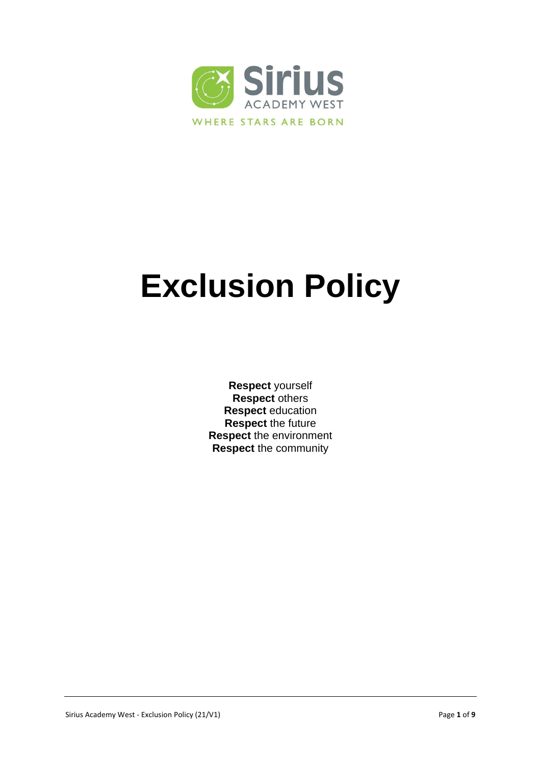

# **Exclusion Policy**

**Respect** yourself **Respect** others **Respect** education **Respect** the future **Respect** the environment **Respect** the community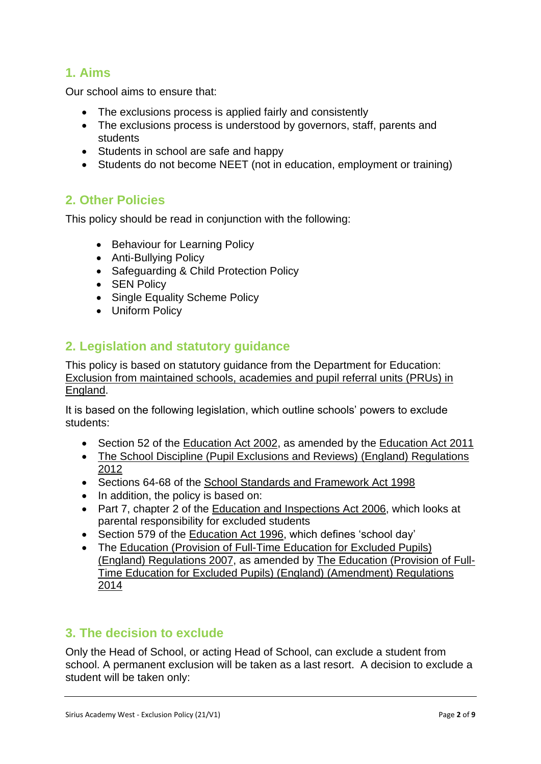# **1. Aims**

Our school aims to ensure that:

- The exclusions process is applied fairly and consistently
- The exclusions process is understood by governors, staff, parents and students
- Students in school are safe and happy
- Students do not become NEET (not in education, employment or training)

# **2. Other Policies**

This policy should be read in conjunction with the following:

- Behaviour for Learning Policy
- Anti-Bullying Policy
- Safeguarding & Child Protection Policy
- SEN Policy
- Single Equality Scheme Policy
- Uniform Policy

## **2. Legislation and statutory guidance**

This policy is based on statutory guidance from the Department for Education: [Exclusion from maintained schools, academies and pupil referral units \(PRUs\) in](https://www.gov.uk/government/publications/school-exclusion)  [England.](https://www.gov.uk/government/publications/school-exclusion)

It is based on the following legislation, which outline schools' powers to exclude students:

- Section 52 of the [Education Act 2002,](http://www.legislation.gov.uk/ukpga/2002/32/section/52) as amended by the [Education Act 2011](http://www.legislation.gov.uk/ukpga/2011/21/contents/enacted)
- The School Discipline (Pupil Exclusions and Reviews) (England) Regulations [2012](http://www.legislation.gov.uk/uksi/2012/1033/made)
- Sections 64-68 of the [School Standards and Framework Act 1998](http://www.legislation.gov.uk/ukpga/1998/31)
- In addition, the policy is based on:
- Part 7, chapter 2 of the [Education and Inspections Act 2006,](http://www.legislation.gov.uk/ukpga/2006/40/part/7/chapter/2) which looks at parental responsibility for excluded students
- Section 579 of the [Education Act 1996,](http://www.legislation.gov.uk/ukpga/1996/56/section/579) which defines 'school day'
- The Education (Provision of Full-Time Education for Excluded Pupils) [\(England\) Regulations 2007,](http://www.legislation.gov.uk/uksi/2007/1870/contents/made) as amended by [The Education \(Provision of Full-](http://www.legislation.gov.uk/uksi/2014/3216/contents/made)[Time Education for Excluded Pupils\) \(England\) \(Amendment\) Regulations](http://www.legislation.gov.uk/uksi/2014/3216/contents/made)  [2014](http://www.legislation.gov.uk/uksi/2014/3216/contents/made)

## **3. The decision to exclude**

Only the Head of School, or acting Head of School, can exclude a student from school. A permanent exclusion will be taken as a last resort. A decision to exclude a student will be taken only: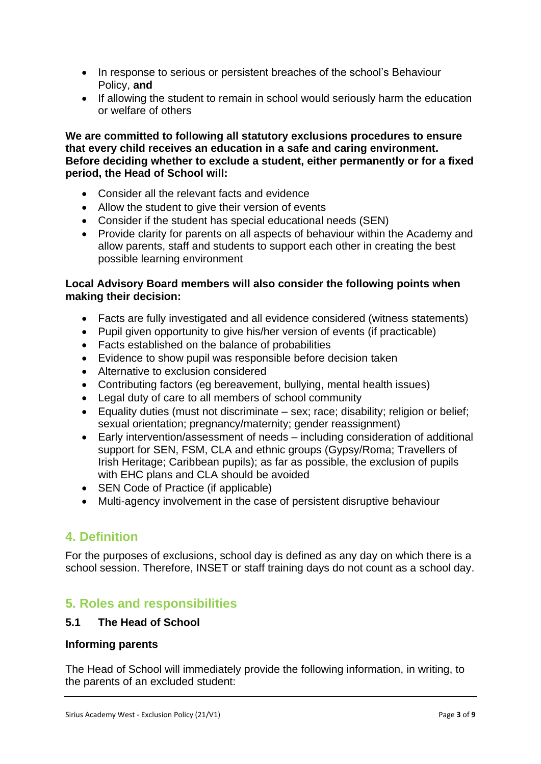- In response to serious or persistent breaches of the school's Behaviour Policy, **and**
- If allowing the student to remain in school would seriously harm the education or welfare of others

**We are committed to following all statutory exclusions procedures to ensure that every child receives an education in a safe and caring environment. Before deciding whether to exclude a student, either permanently or for a fixed period, the Head of School will:**

- Consider all the relevant facts and evidence
- Allow the student to give their version of events
- Consider if the student has special educational needs (SEN)
- Provide clarity for parents on all aspects of behaviour within the Academy and allow parents, staff and students to support each other in creating the best possible learning environment

#### **Local Advisory Board members will also consider the following points when making their decision:**

- Facts are fully investigated and all evidence considered (witness statements)
- Pupil given opportunity to give his/her version of events (if practicable)
- Facts established on the balance of probabilities
- Evidence to show pupil was responsible before decision taken
- Alternative to exclusion considered
- Contributing factors (eg bereavement, bullying, mental health issues)
- Legal duty of care to all members of school community
- Equality duties (must not discriminate sex; race; disability; religion or belief; sexual orientation; pregnancy/maternity; gender reassignment)
- Early intervention/assessment of needs including consideration of additional support for SEN, FSM, CLA and ethnic groups (Gypsy/Roma; Travellers of Irish Heritage; Caribbean pupils); as far as possible, the exclusion of pupils with EHC plans and CLA should be avoided
- SEN Code of Practice (if applicable)
- Multi-agency involvement in the case of persistent disruptive behaviour

## **4. Definition**

For the purposes of exclusions, school day is defined as any day on which there is a school session. Therefore, INSET or staff training days do not count as a school day.

## **5. Roles and responsibilities**

#### **5.1 The Head of School**

#### **Informing parents**

The Head of School will immediately provide the following information, in writing, to the parents of an excluded student: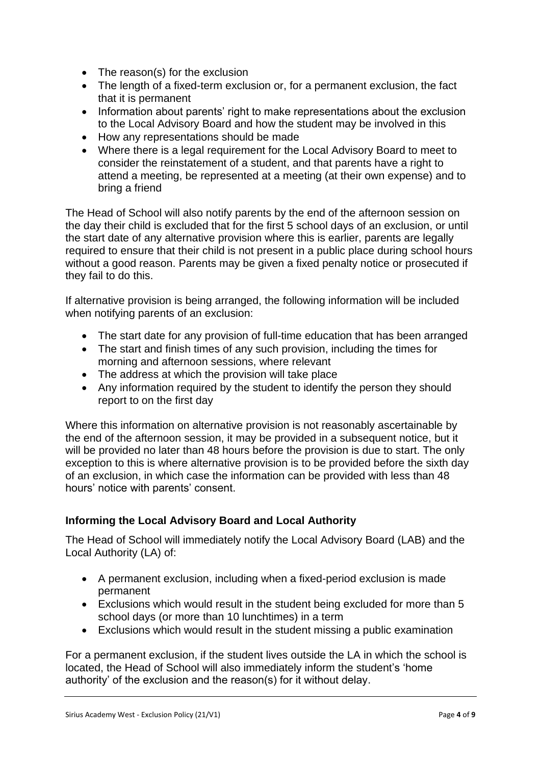- The reason(s) for the exclusion
- The length of a fixed-term exclusion or, for a permanent exclusion, the fact that it is permanent
- Information about parents' right to make representations about the exclusion to the Local Advisory Board and how the student may be involved in this
- How any representations should be made
- Where there is a legal requirement for the Local Advisory Board to meet to consider the reinstatement of a student, and that parents have a right to attend a meeting, be represented at a meeting (at their own expense) and to bring a friend

The Head of School will also notify parents by the end of the afternoon session on the day their child is excluded that for the first 5 school days of an exclusion, or until the start date of any alternative provision where this is earlier, parents are legally required to ensure that their child is not present in a public place during school hours without a good reason. Parents may be given a fixed penalty notice or prosecuted if they fail to do this.

If alternative provision is being arranged, the following information will be included when notifying parents of an exclusion:

- The start date for any provision of full-time education that has been arranged
- The start and finish times of any such provision, including the times for morning and afternoon sessions, where relevant
- The address at which the provision will take place
- Any information required by the student to identify the person they should report to on the first day

Where this information on alternative provision is not reasonably ascertainable by the end of the afternoon session, it may be provided in a subsequent notice, but it will be provided no later than 48 hours before the provision is due to start. The only exception to this is where alternative provision is to be provided before the sixth day of an exclusion, in which case the information can be provided with less than 48 hours' notice with parents' consent.

## **Informing the Local Advisory Board and Local Authority**

The Head of School will immediately notify the Local Advisory Board (LAB) and the Local Authority (LA) of:

- A permanent exclusion, including when a fixed-period exclusion is made permanent
- Exclusions which would result in the student being excluded for more than 5 school days (or more than 10 lunchtimes) in a term
- Exclusions which would result in the student missing a public examination

For a permanent exclusion, if the student lives outside the LA in which the school is located, the Head of School will also immediately inform the student's 'home authority' of the exclusion and the reason(s) for it without delay.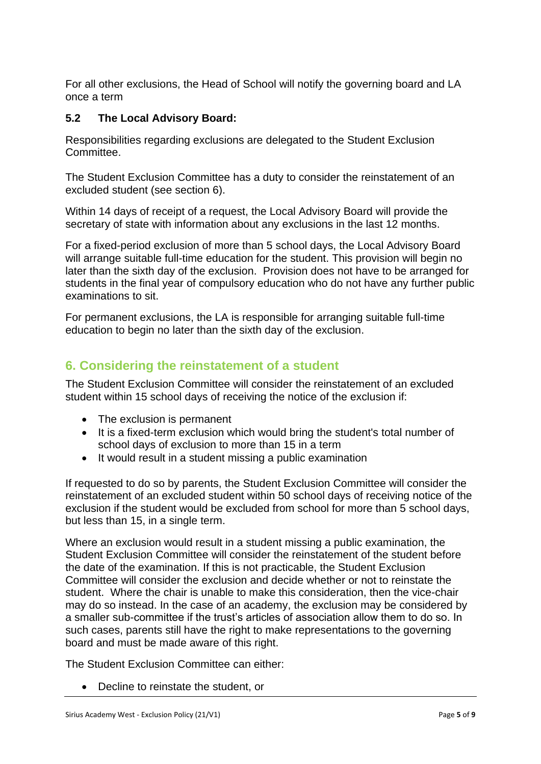For all other exclusions, the Head of School will notify the governing board and LA once a term

## **5.2 The Local Advisory Board:**

Responsibilities regarding exclusions are delegated to the Student Exclusion Committee.

The Student Exclusion Committee has a duty to consider the reinstatement of an excluded student (see section 6).

Within 14 days of receipt of a request, the Local Advisory Board will provide the secretary of state with information about any exclusions in the last 12 months.

For a fixed-period exclusion of more than 5 school days, the Local Advisory Board will arrange suitable full-time education for the student. This provision will begin no later than the sixth day of the exclusion. Provision does not have to be arranged for students in the final year of compulsory education who do not have any further public examinations to sit.

For permanent exclusions, the LA is responsible for arranging suitable full-time education to begin no later than the sixth day of the exclusion.

## **6. Considering the reinstatement of a student**

The Student Exclusion Committee will consider the reinstatement of an excluded student within 15 school days of receiving the notice of the exclusion if:

- The exclusion is permanent
- It is a fixed-term exclusion which would bring the student's total number of school days of exclusion to more than 15 in a term
- It would result in a student missing a public examination

If requested to do so by parents, the Student Exclusion Committee will consider the reinstatement of an excluded student within 50 school days of receiving notice of the exclusion if the student would be excluded from school for more than 5 school days, but less than 15, in a single term.

Where an exclusion would result in a student missing a public examination, the Student Exclusion Committee will consider the reinstatement of the student before the date of the examination. If this is not practicable, the Student Exclusion Committee will consider the exclusion and decide whether or not to reinstate the student. Where the chair is unable to make this consideration, then the vice-chair may do so instead. In the case of an academy, the exclusion may be considered by a smaller sub-committee if the trust's articles of association allow them to do so. In such cases, parents still have the right to make representations to the governing board and must be made aware of this right.

The Student Exclusion Committee can either:

Decline to reinstate the student, or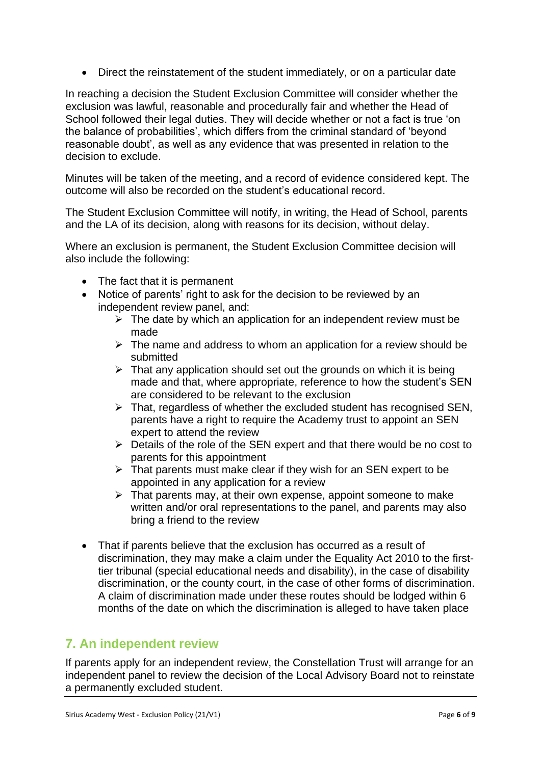Direct the reinstatement of the student immediately, or on a particular date

In reaching a decision the Student Exclusion Committee will consider whether the exclusion was lawful, reasonable and procedurally fair and whether the Head of School followed their legal duties. They will decide whether or not a fact is true 'on the balance of probabilities', which differs from the criminal standard of 'beyond reasonable doubt', as well as any evidence that was presented in relation to the decision to exclude.

Minutes will be taken of the meeting, and a record of evidence considered kept. The outcome will also be recorded on the student's educational record.

The Student Exclusion Committee will notify, in writing, the Head of School, parents and the LA of its decision, along with reasons for its decision, without delay.

Where an exclusion is permanent, the Student Exclusion Committee decision will also include the following:

- The fact that it is permanent
- Notice of parents' right to ask for the decision to be reviewed by an independent review panel, and:
	- $\triangleright$  The date by which an application for an independent review must be made
	- $\triangleright$  The name and address to whom an application for a review should be submitted
	- $\triangleright$  That any application should set out the grounds on which it is being made and that, where appropriate, reference to how the student's SEN are considered to be relevant to the exclusion
	- $\triangleright$  That, regardless of whether the excluded student has recognised SEN, parents have a right to require the Academy trust to appoint an SEN expert to attend the review
	- $\triangleright$  Details of the role of the SEN expert and that there would be no cost to parents for this appointment
	- $\triangleright$  That parents must make clear if they wish for an SEN expert to be appointed in any application for a review
	- $\triangleright$  That parents may, at their own expense, appoint someone to make written and/or oral representations to the panel, and parents may also bring a friend to the review
- That if parents believe that the exclusion has occurred as a result of discrimination, they may make a claim under the Equality Act 2010 to the firsttier tribunal (special educational needs and disability), in the case of disability discrimination, or the county court, in the case of other forms of discrimination. A claim of discrimination made under these routes should be lodged within 6 months of the date on which the discrimination is alleged to have taken place

# **7. An independent review**

If parents apply for an independent review, the Constellation Trust will arrange for an independent panel to review the decision of the Local Advisory Board not to reinstate a permanently excluded student.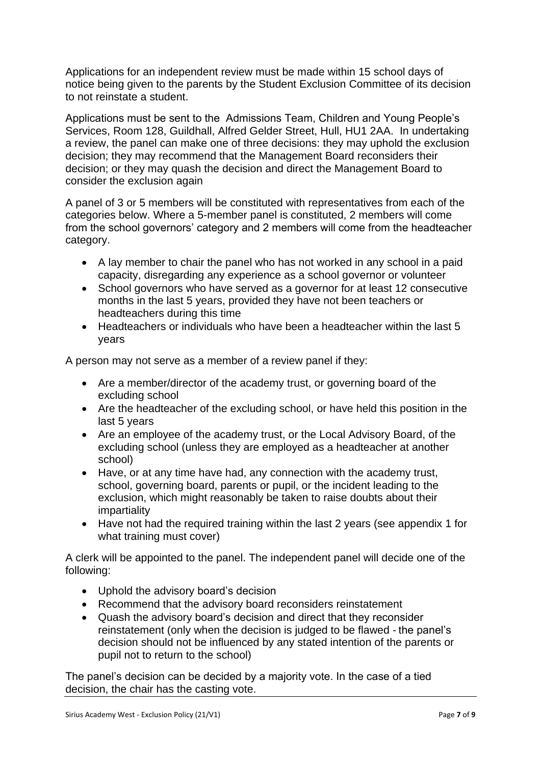Applications for an independent review must be made within 15 school days of notice being given to the parents by the Student Exclusion Committee of its decision to not reinstate a student.

Applications must be sent to the Admissions Team, Children and Young People's Services, Room 128, Guildhall, Alfred Gelder Street, Hull, HU1 2AA. In undertaking a review, the panel can make one of three decisions: they may uphold the exclusion decision; they may recommend that the Management Board reconsiders their decision; or they may quash the decision and direct the Management Board to consider the exclusion again

A panel of 3 or 5 members will be constituted with representatives from each of the categories below. Where a 5-member panel is constituted, 2 members will come from the school governors' category and 2 members will come from the headteacher category.

- A lay member to chair the panel who has not worked in any school in a paid capacity, disregarding any experience as a school governor or volunteer
- School governors who have served as a governor for at least 12 consecutive months in the last 5 years, provided they have not been teachers or headteachers during this time
- Headteachers or individuals who have been a headteacher within the last 5 years

A person may not serve as a member of a review panel if they:

- Are a member/director of the academy trust, or governing board of the excluding school
- Are the headteacher of the excluding school, or have held this position in the last 5 years
- Are an employee of the academy trust, or the Local Advisory Board, of the excluding school (unless they are employed as a headteacher at another school)
- Have, or at any time have had, any connection with the academy trust, school, governing board, parents or pupil, or the incident leading to the exclusion, which might reasonably be taken to raise doubts about their impartiality
- Have not had the required training within the last 2 years (see appendix 1 for what training must cover)

A clerk will be appointed to the panel. The independent panel will decide one of the following:

- Uphold the advisory board's decision
- Recommend that the advisory board reconsiders reinstatement
- Quash the advisory board's decision and direct that they reconsider reinstatement (only when the decision is judged to be flawed - the panel's decision should not be influenced by any stated intention of the parents or pupil not to return to the school)

The panel's decision can be decided by a majority vote. In the case of a tied decision, the chair has the casting vote.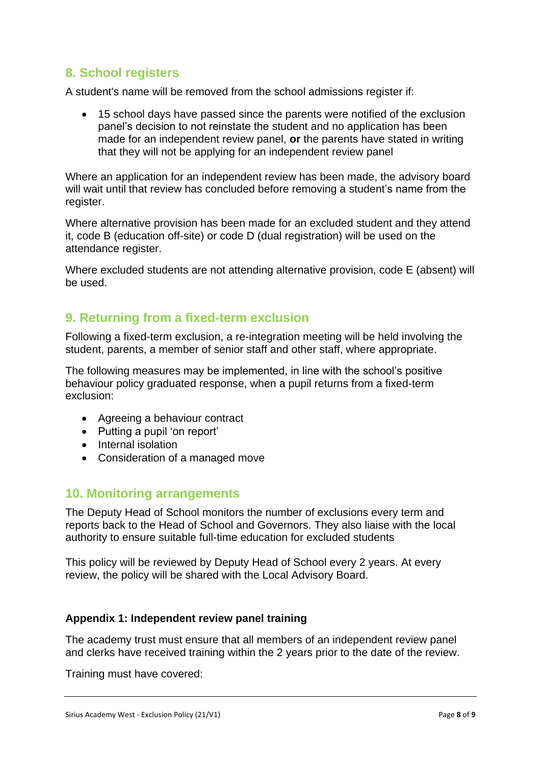## **8. School registers**

A student's name will be removed from the school admissions register if:

 15 school days have passed since the parents were notified of the exclusion panel's decision to not reinstate the student and no application has been made for an independent review panel, **or** the parents have stated in writing that they will not be applying for an independent review panel

Where an application for an independent review has been made, the advisory board will wait until that review has concluded before removing a student's name from the register.

Where alternative provision has been made for an excluded student and they attend it, code B (education off-site) or code D (dual registration) will be used on the attendance register.

Where excluded students are not attending alternative provision, code E (absent) will be used.

## **9. Returning from a fixed-term exclusion**

Following a fixed-term exclusion, a re-integration meeting will be held involving the student, parents, a member of senior staff and other staff, where appropriate.

The following measures may be implemented, in line with the school's positive behaviour policy graduated response, when a pupil returns from a fixed-term exclusion:

- Agreeing a behaviour contract
- Putting a pupil 'on report'
- Internal isolation
- Consideration of a managed move

## **10. Monitoring arrangements**

The Deputy Head of School monitors the number of exclusions every term and reports back to the Head of School and Governors. They also liaise with the local authority to ensure suitable full-time education for excluded students

This policy will be reviewed by Deputy Head of School every 2 years. At every review, the policy will be shared with the Local Advisory Board.

#### **Appendix 1: Independent review panel training**

The academy trust must ensure that all members of an independent review panel and clerks have received training within the 2 years prior to the date of the review.

Training must have covered: